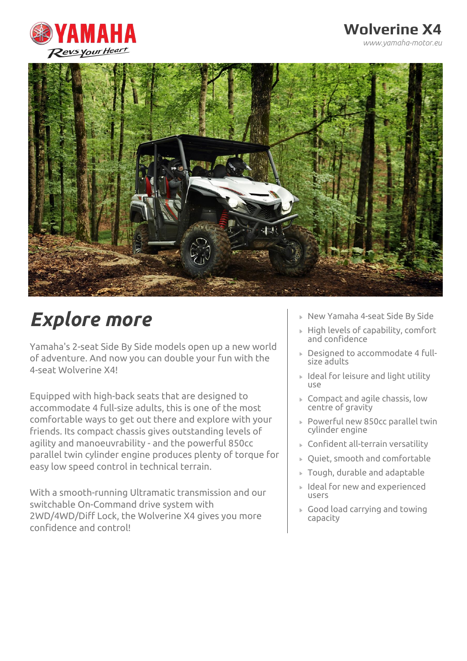

### **Wolverine X4**

*www.yamaha-motor.eu*



# *Explore more*

Yamaha's 2-seat Side By Side models open up a new world of adventure. And now you can double your fun with the 4-seat Wolverine X4!

Equipped with high-back seats that are designed to accommodate 4 full-size adults, this is one of the most comfortable ways to get out there and explore with your friends. Its compact chassis gives outstanding levels of agility and manoeuvrability - and the powerful 850cc parallel twin cylinder engine produces plenty of torque for easy low speed control in technical terrain.

With a smooth-running Ultramatic transmission and our switchable On-Command drive system with 2WD/4WD/Diff Lock, the Wolverine X4 gives you more confidence and control!

- New Yamaha 4-seat Side By Side
- $\triangleright$  High levels of capability, comfort and confidence
- Designed to accommodate 4 fullsize adults
- $\triangleright$  Ideal for leisure and light utility use
- Compact and agile chassis, low centre of gravity
- Powerful new 850cc parallel twin cylinder engine
- Confident all-terrain versatility
- Quiet, smooth and comfortable
- Tough, durable and adaptable
- Ideal for new and experienced users
- Good load carrying and towing capacity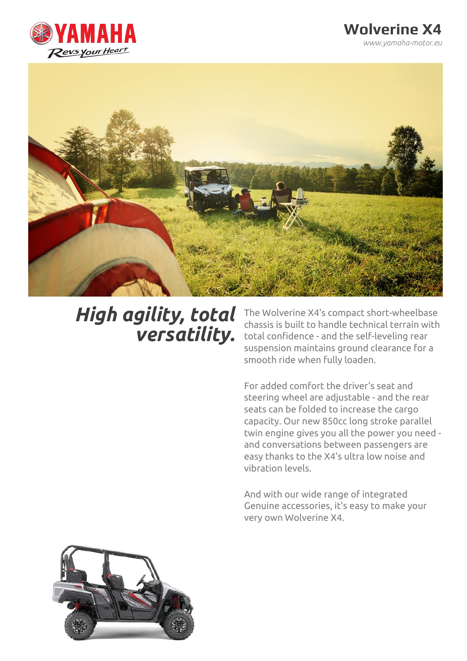

#### **Wolverine X4** *www.yamaha-motor.eu*



## *High agility, total versatility.*

The Wolverine X4's compact short-wheelbase chassis is built to handle technical terrain with total confidence - and the self-leveling rear suspension maintains ground clearance for a smooth ride when fully loaden.

For added comfort the driver's seat and steering wheel are adjustable - and the rear seats can be folded to increase the cargo capacity. Our new 850cc long stroke parallel twin engine gives you all the power you need and conversations between passengers are easy thanks to the X4's ultra low noise and vibration levels.

And with our wide range of integrated Genuine accessories, it's easy to make your very own Wolverine X4.

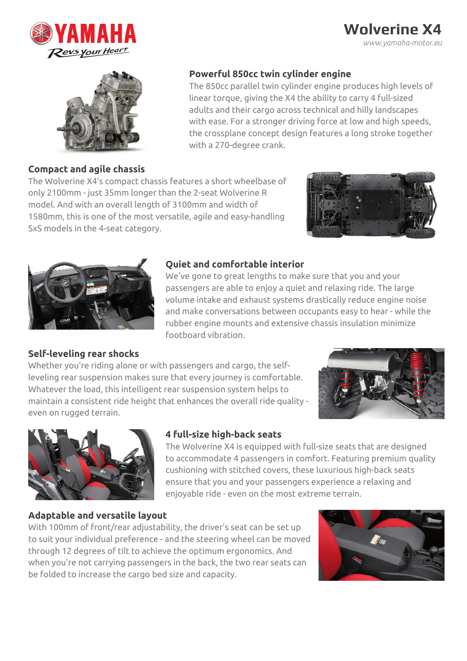

### **Wolverine X4** *www.yamaha-motor.eu*



#### **Compact and agile chassis**

#### **Powerful 850cc twin cylinder engine**

The 850cc parallel twin cylinder engine produces high levels of linear torque, giving the X4 the ability to carry 4 full-sized adults and their cargo across technical and hilly landscapes with ease. For a stronger driving force at low and high speeds, the crossplane concept design features a long stroke together with a 270-degree crank.

The Wolverine X4's compact chassis features a short wheelbase of only 2100mm - just 35mm longer than the 2-seat Wolverine R model. And with an overall length of 3100mm and width of 1580mm, this is one of the most versatile, agile and easy-handling SxS models in the 4-seat category.





#### **Quiet and comfortable interior**

We've gone to great lengths to make sure that you and your passengers are able to enjoy a quiet and relaxing ride. The large volume intake and exhaust systems drastically reduce engine noise and make conversations between occupants easy to hear - while the rubber engine mounts and extensive chassis insulation minimize footboard vibration.

#### **Self-leveling rear shocks**

Whether you're riding alone or with passengers and cargo, the selfleveling rear suspension makes sure that every journey is comfortable. Whatever the load, this intelligent rear suspension system helps to maintain a consistent ride height that enhances the overall ride quality even on rugged terrain.





#### **4 full-size high-back seats**

The Wolverine X4 is equipped with full-size seats that are designed to accommodate 4 passengers in comfort. Featuring premium quality cushioning with stitched covers, these luxurious high-back seats ensure that you and your passengers experience a relaxing and enjoyable ride - even on the most extreme terrain.

#### **Adaptable and versatile layout**

With 100mm of front/rear adjustability, the driver's seat can be set up to suit your individual preference - and the steering wheel can be moved through 12 degrees of tilt to achieve the optimum ergonomics. And when you're not carrying passengers in the back, the two rear seats can be folded to increase the cargo bed size and capacity.

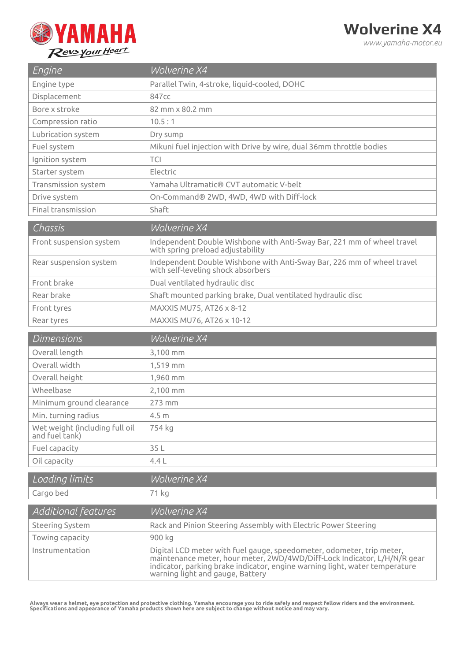

*www.yamaha-motor.eu*

| Engine                                           | <b>Wolverine X4</b>                                                                                                                                                                                                                                                  |
|--------------------------------------------------|----------------------------------------------------------------------------------------------------------------------------------------------------------------------------------------------------------------------------------------------------------------------|
| Engine type                                      | Parallel Twin, 4-stroke, liquid-cooled, DOHC                                                                                                                                                                                                                         |
| Displacement                                     | 847cc                                                                                                                                                                                                                                                                |
| Bore x stroke                                    | 82 mm x 80.2 mm                                                                                                                                                                                                                                                      |
| Compression ratio                                | 10.5:1                                                                                                                                                                                                                                                               |
| Lubrication system                               | Dry sump                                                                                                                                                                                                                                                             |
| Fuel system                                      | Mikuni fuel injection with Drive by wire, dual 36mm throttle bodies                                                                                                                                                                                                  |
| Ignition system                                  | <b>TCI</b>                                                                                                                                                                                                                                                           |
| Starter system                                   | Electric                                                                                                                                                                                                                                                             |
| Transmission system                              | Yamaha Ultramatic® CVT automatic V-belt                                                                                                                                                                                                                              |
| Drive system                                     | On-Command® 2WD, 4WD, 4WD with Diff-lock                                                                                                                                                                                                                             |
| Final transmission                               | Shaft                                                                                                                                                                                                                                                                |
| Chassis                                          | <b>Wolverine X4</b>                                                                                                                                                                                                                                                  |
| Front suspension system                          | Independent Double Wishbone with Anti-Sway Bar, 221 mm of wheel travel<br>with spring preload adjustability                                                                                                                                                          |
| Rear suspension system                           | Independent Double Wishbone with Anti-Sway Bar, 226 mm of wheel travel<br>with self-leveling shock absorbers                                                                                                                                                         |
| Front brake                                      | Dual ventilated hydraulic disc                                                                                                                                                                                                                                       |
| Rear brake                                       | Shaft mounted parking brake, Dual ventilated hydraulic disc                                                                                                                                                                                                          |
| Front tyres                                      | MAXXIS MU75, AT26 x 8-12                                                                                                                                                                                                                                             |
| Rear tyres                                       | MAXXIS MU76, AT26 x 10-12                                                                                                                                                                                                                                            |
| <b>Dimensions</b>                                | Wolverine X4                                                                                                                                                                                                                                                         |
| Overall length                                   | 3,100 mm                                                                                                                                                                                                                                                             |
| Overall width                                    | 1,519 mm                                                                                                                                                                                                                                                             |
| Overall height                                   | 1,960 mm                                                                                                                                                                                                                                                             |
| Wheelbase                                        | 2,100 mm                                                                                                                                                                                                                                                             |
| Minimum ground clearance                         | 273 mm                                                                                                                                                                                                                                                               |
| Min. turning radius                              | 4.5 <sub>m</sub>                                                                                                                                                                                                                                                     |
| Wet weight (including full oil<br>and fuel tank) | 754 kg                                                                                                                                                                                                                                                               |
| Fuel capacity                                    | 35L                                                                                                                                                                                                                                                                  |
| Oil capacity                                     | 4.4L                                                                                                                                                                                                                                                                 |
| Loading limits                                   | <b>Wolverine X4</b>                                                                                                                                                                                                                                                  |
| Cargo bed                                        | 71 kg                                                                                                                                                                                                                                                                |
| Additional features                              | Wolverine X4                                                                                                                                                                                                                                                         |
| Steering System                                  | Rack and Pinion Steering Assembly with Electric Power Steering                                                                                                                                                                                                       |
| Towing capacity                                  | 900 kg                                                                                                                                                                                                                                                               |
| Instrumentation                                  | Digital LCD meter with fuel gauge, speedometer, odometer, trip meter,<br>maintenance meter, hour meter, 2WD/4WD/Diff-Lock Indicator, L/H/N/R gear<br>indicator, parking brake indicator, engine warning light, water temperature<br>warning light and gauge, Battery |

Always wear a helmet, eye protection and protective clothing. Yamaha encourage you to ride safely and respect fellow riders and the environment.<br>Specifications and appearance of Yamaha products shown here are subject to ch